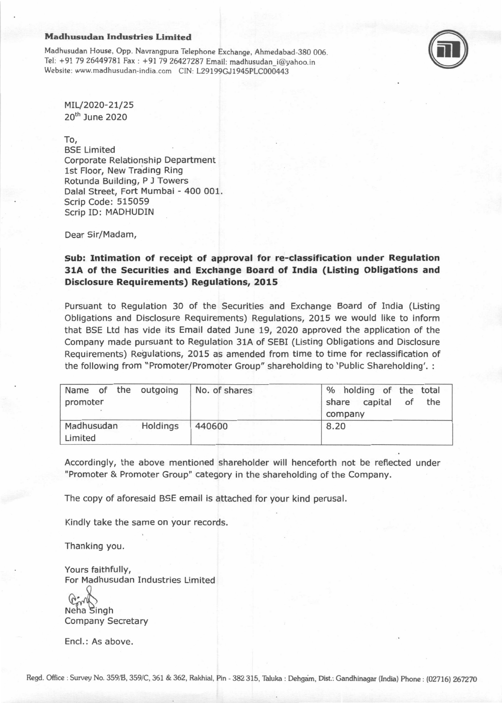### **Madhusudan Industries Limited**  Madhusudan Industries Limited

Madhusudan House, Opp. Navrangpura Telephone Exchange, Ahmedabad-380 006. Madhusudan House, opp. Navrangpura Telephone Exchange, Ahmedabad-3g0 006. Tel: +91 79 26449781 Fax : +91 79 26427287 Email: madhusudan\_i@yahoo.in Tel: +91 7926449781Fax : \*91 7926427287 Email: madhusudan\_i@yahoo.in Website: www.madhusudan-india.com CIN: L29199GJ1945PLC000443 Website: www.madhusudan-india.com CIN: L29199GJ1945pLC000443



MIL/2020-21/25 Mru2o2o-2t/2s 20<sup>th</sup> June 2020

To, To,

BSE Limited BSE Limited Corporate Relationship Department Corporate Relationshi p Department 1st Floor, New Trading Ring lst Floor, New Trading Ring Rotunda Building, P J Towers Rotunda Building, P J Towers Dalai Street, Fort Mumbai - 400 001. Dalal Street, Fort Mumbai - 400 001. Scrip Code: 515059 Scrip Code: 515059 Scrip ID: MADHUDIN Scrip ID: MADHUDIN

Dear Sir/Madam, Dear Sir/Madam,

## **Sub: Intimation of receipt of approval for re-classification under Regulation**  Sub: Intimation of receipt of approval for re-classification under Regulation **31A of the Securities and Exchange Board of India (Listing Obligations and**  31A of the Securities and Exchange Board of India (Listing Obligatlons and **Disclosure Requirements) Regulations, 2015**  Disclosure Requirements) Regulations, 2015

Pursuant to Regulation 30 of the Securities and Exchange Board of India (Listing Pursuant to Regulation 30 of the Securities and Exchange Board of India (Listing Obligations and Disclosure Requirements) Regulations, 2015 we would like to inform Obligations and Disclosure Requirements) Regulations, 2015 we would like to inform that BSE Ltd has vide its Email dated June 19, 2020 approved the application of the that BSE Ltd has vide its Email dated June 19, 2O2O approved the application of the Company made pursuant to Regulation 31A of SEBI (Listing Obligations and Disclosure Company made pursuant to Regulation 31A of SEBI (Listing Obligations and Disclosure Requirements) Regulations, 2015 as amended from time to time for reclassification of Requirements) Regulations, 2015 as amended from time to time for reclassification of the following from "Promoter/Promoter Group" shareholding to 'Public Shareholding'. : the following from "Promoter/Promoter Group" shareholding to'Public Shareholding'. :

| Name of the outgoing<br>promoter |          | No. of shares | % holding of the total<br>share capital<br>of<br>the<br>company |
|----------------------------------|----------|---------------|-----------------------------------------------------------------|
| Madhusudan<br>Limited            | Holdings | 440600        | 8.20                                                            |

Accordingly, the above mentioned shareholder will henceforth not be reflected under Accordingly, the above mentioned shareholder will henceforth not be reflected under "Promoter & Promoter Group" category in the shareholding of the Company. "Promoter & Promoter Group" category in the shareholding of the Company,

The copy of aforesaid BSE email is attached for your kind perusal. The copy of aforesaid BSE email is attached for your kind perusal,

Kindly take the same on your records. Kindly take the same on your records.

Thanking you. Thanking you.

Yours faithfully, Yours faithfully, For Madhusudan Industries Limited For Madhusudan Industries Limited

Neha Singh Company Secretary Company Secretary  $\big($ A;nN

Encl.: As above. Encl.: As above.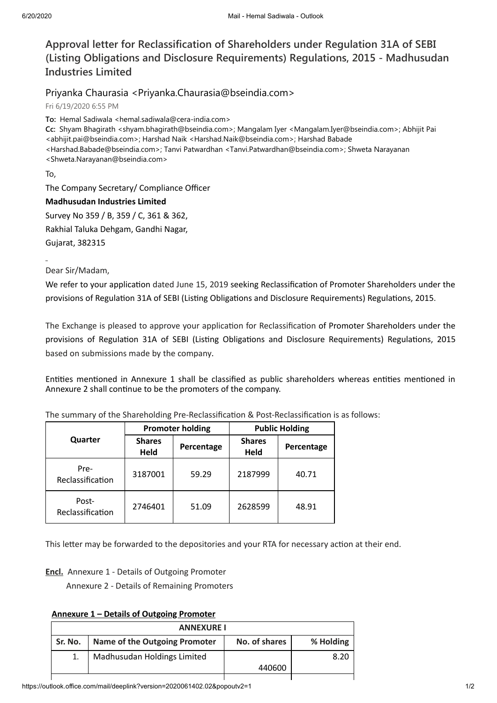# Approval letter for Reclassification of Shareholders under Regulation 31A of SEBI (Listing Obligations and Disclosure Requirements) Regulations, 2015 - Madhusudan Industries Limited

# Priyanka Chaurasia <Priyanka.Chaurasia@bseindia.com>

Fri 6/19/2020 6:55 PM

To: Hemal Sadiwala <hemal.sadiwala@cera-india.com>

Cc: Shyam Bhagirath <shyam.bhagirath@bseindia.com>; Mangalam Iyer <Mangalam.Iyer@bseindia.com>; Abhijit Pai <abhijit.pai@bseindia.com>; Harshad Naik <Harshad.Naik@bseindia.com>; Harshad Babade <Harshad.Babade@bseindia.com>; Tanvi Patwardhan <Tanvi.Patwardhan@bseindia.com>; Shweta Narayanan <Shweta.Narayanan@bseindia.com>

To,

The Company Secretary/ Compliance Officer

## Madhusudan Industries Limited

Survey No 359 / B, 359 / C, 361 & 362, Rakhial Taluka Dehgam, Gandhi Nagar, Gujarat, 382315

Dear Sir/Madam,

We refer to your application dated June 15, 2019 seeking Reclassification of Promoter Shareholders under the provisions of Regulation 31A of SEBI (Listing Obligations and Disclosure Requirements) Regulations, 2015.

The Exchange is pleased to approve your application for Reclassification of Promoter Shareholders under the provisions of Regulation 31A of SEBI (Listing Obligations and Disclosure Requirements) Regulations, 2015 based on submissions made by the company.

Entities mentioned in Annexure 1 shall be classified as public shareholders whereas entities mentioned in Annexure 2 shall continue to be the promoters of the company.

|                           | <b>Promoter holding</b> |            | <b>Public Holding</b> |            |
|---------------------------|-------------------------|------------|-----------------------|------------|
| Quarter                   | <b>Shares</b><br>Held   | Percentage | <b>Shares</b><br>Held | Percentage |
| Pre-<br>Reclassification  | 3187001                 | 59.29      | 2187999               | 40.71      |
| Post-<br>Reclassification | 2746401                 | 51.09      | 2628599               | 48.91      |

The summary of the Shareholding Pre-Reclassification & Post-Reclassification is as follows:

This letter may be forwarded to the depositories and your RTA for necessary action at their end.

### Encl. Annexure 1 - Details of Outgoing Promoter

Annexure 2 - Details of Remaining Promoters

## Annexure 1 – Details of Outgoing Promoter

| <b>ANNEXURE I</b> |                               |               |           |
|-------------------|-------------------------------|---------------|-----------|
| Sr. No.           | Name of the Outgoing Promoter | No. of shares | % Holding |
|                   | Madhusudan Holdings Limited   |               | 8.20      |
|                   |                               | 440600        |           |
|                   |                               |               |           |

https://outlook.office.com/mail/deeplink?version=2020061402.02&popoutv2=1 1/2